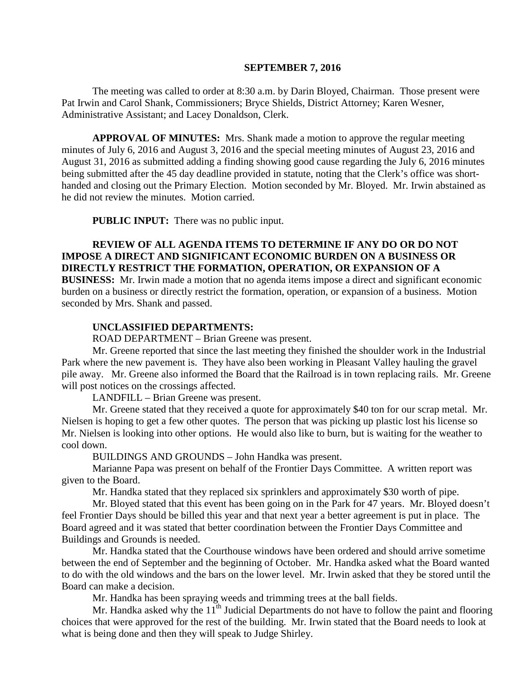#### **SEPTEMBER 7, 2016**

The meeting was called to order at 8:30 a.m. by Darin Bloyed, Chairman. Those present were Pat Irwin and Carol Shank, Commissioners; Bryce Shields, District Attorney; Karen Wesner, Administrative Assistant; and Lacey Donaldson, Clerk.

**APPROVAL OF MINUTES:** Mrs. Shank made a motion to approve the regular meeting minutes of July 6, 2016 and August 3, 2016 and the special meeting minutes of August 23, 2016 and August 31, 2016 as submitted adding a finding showing good cause regarding the July 6, 2016 minutes being submitted after the 45 day deadline provided in statute, noting that the Clerk's office was shorthanded and closing out the Primary Election. Motion seconded by Mr. Bloyed. Mr. Irwin abstained as he did not review the minutes. Motion carried.

 **PUBLIC INPUT:** There was no public input.

## **REVIEW OF ALL AGENDA ITEMS TO DETERMINE IF ANY DO OR DO NOT IMPOSE A DIRECT AND SIGNIFICANT ECONOMIC BURDEN ON A BUSINESS OR DIRECTLY RESTRICT THE FORMATION, OPERATION, OR EXPANSION OF A**

**BUSINESS:** Mr. Irwin made a motion that no agenda items impose a direct and significant economic burden on a business or directly restrict the formation, operation, or expansion of a business. Motion seconded by Mrs. Shank and passed.

#### **UNCLASSIFIED DEPARTMENTS:**

ROAD DEPARTMENT – Brian Greene was present.

Mr. Greene reported that since the last meeting they finished the shoulder work in the Industrial Park where the new pavement is. They have also been working in Pleasant Valley hauling the gravel pile away. Mr. Greene also informed the Board that the Railroad is in town replacing rails. Mr. Greene will post notices on the crossings affected.

LANDFILL – Brian Greene was present.

Mr. Greene stated that they received a quote for approximately \$40 ton for our scrap metal. Mr. Nielsen is hoping to get a few other quotes. The person that was picking up plastic lost his license so Mr. Nielsen is looking into other options. He would also like to burn, but is waiting for the weather to cool down.

BUILDINGS AND GROUNDS – John Handka was present.

Marianne Papa was present on behalf of the Frontier Days Committee. A written report was given to the Board.

Mr. Handka stated that they replaced six sprinklers and approximately \$30 worth of pipe.

Mr. Bloyed stated that this event has been going on in the Park for 47 years. Mr. Bloyed doesn't feel Frontier Days should be billed this year and that next year a better agreement is put in place. The Board agreed and it was stated that better coordination between the Frontier Days Committee and Buildings and Grounds is needed.

Mr. Handka stated that the Courthouse windows have been ordered and should arrive sometime between the end of September and the beginning of October. Mr. Handka asked what the Board wanted to do with the old windows and the bars on the lower level. Mr. Irwin asked that they be stored until the Board can make a decision.

Mr. Handka has been spraying weeds and trimming trees at the ball fields.

Mr. Handka asked why the  $11<sup>th</sup>$  Judicial Departments do not have to follow the paint and flooring choices that were approved for the rest of the building. Mr. Irwin stated that the Board needs to look at what is being done and then they will speak to Judge Shirley.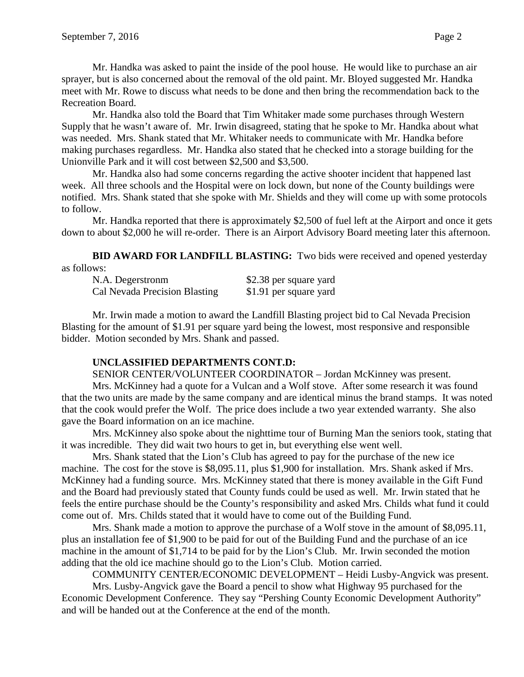Mr. Handka was asked to paint the inside of the pool house. He would like to purchase an air sprayer, but is also concerned about the removal of the old paint. Mr. Bloyed suggested Mr. Handka meet with Mr. Rowe to discuss what needs to be done and then bring the recommendation back to the Recreation Board.

Mr. Handka also told the Board that Tim Whitaker made some purchases through Western Supply that he wasn't aware of. Mr. Irwin disagreed, stating that he spoke to Mr. Handka about what was needed. Mrs. Shank stated that Mr. Whitaker needs to communicate with Mr. Handka before making purchases regardless. Mr. Handka also stated that he checked into a storage building for the Unionville Park and it will cost between \$2,500 and \$3,500.

Mr. Handka also had some concerns regarding the active shooter incident that happened last week. All three schools and the Hospital were on lock down, but none of the County buildings were notified. Mrs. Shank stated that she spoke with Mr. Shields and they will come up with some protocols to follow.

Mr. Handka reported that there is approximately \$2,500 of fuel left at the Airport and once it gets down to about \$2,000 he will re-order. There is an Airport Advisory Board meeting later this afternoon.

**BID AWARD FOR LANDFILL BLASTING:** Two bids were received and opened yesterday as follows:

| N.A. Degerstronm              | \$2.38 per square yard |
|-------------------------------|------------------------|
| Cal Nevada Precision Blasting | \$1.91 per square yard |

Mr. Irwin made a motion to award the Landfill Blasting project bid to Cal Nevada Precision Blasting for the amount of \$1.91 per square yard being the lowest, most responsive and responsible bidder. Motion seconded by Mrs. Shank and passed.

## **UNCLASSIFIED DEPARTMENTS CONT.D:**

SENIOR CENTER/VOLUNTEER COORDINATOR – Jordan McKinney was present.

Mrs. McKinney had a quote for a Vulcan and a Wolf stove. After some research it was found that the two units are made by the same company and are identical minus the brand stamps. It was noted that the cook would prefer the Wolf. The price does include a two year extended warranty. She also gave the Board information on an ice machine.

Mrs. McKinney also spoke about the nighttime tour of Burning Man the seniors took, stating that it was incredible. They did wait two hours to get in, but everything else went well.

Mrs. Shank stated that the Lion's Club has agreed to pay for the purchase of the new ice machine. The cost for the stove is \$8,095.11, plus \$1,900 for installation. Mrs. Shank asked if Mrs. McKinney had a funding source. Mrs. McKinney stated that there is money available in the Gift Fund and the Board had previously stated that County funds could be used as well. Mr. Irwin stated that he feels the entire purchase should be the County's responsibility and asked Mrs. Childs what fund it could come out of. Mrs. Childs stated that it would have to come out of the Building Fund.

Mrs. Shank made a motion to approve the purchase of a Wolf stove in the amount of \$8,095.11, plus an installation fee of \$1,900 to be paid for out of the Building Fund and the purchase of an ice machine in the amount of \$1,714 to be paid for by the Lion's Club. Mr. Irwin seconded the motion adding that the old ice machine should go to the Lion's Club. Motion carried.

COMMUNITY CENTER/ECONOMIC DEVELOPMENT – Heidi Lusby-Angvick was present.

Mrs. Lusby-Angvick gave the Board a pencil to show what Highway 95 purchased for the Economic Development Conference. They say "Pershing County Economic Development Authority" and will be handed out at the Conference at the end of the month.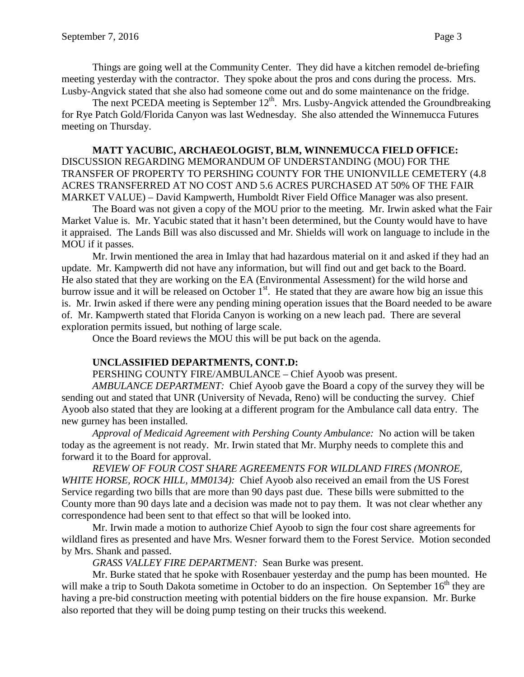Things are going well at the Community Center. They did have a kitchen remodel de-briefing meeting yesterday with the contractor. They spoke about the pros and cons during the process. Mrs. Lusby-Angvick stated that she also had someone come out and do some maintenance on the fridge.

The next PCEDA meeting is September 12<sup>th</sup>. Mrs. Lusby-Angvick attended the Groundbreaking for Rye Patch Gold/Florida Canyon was last Wednesday. She also attended the Winnemucca Futures meeting on Thursday.

## **MATT YACUBIC, ARCHAEOLOGIST, BLM, WINNEMUCCA FIELD OFFICE:**  DISCUSSION REGARDING MEMORANDUM OF UNDERSTANDING (MOU) FOR THE TRANSFER OF PROPERTY TO PERSHING COUNTY FOR THE UNIONVILLE CEMETERY (4.8 ACRES TRANSFERRED AT NO COST AND 5.6 ACRES PURCHASED AT 50% OF THE FAIR MARKET VALUE) – David Kampwerth, Humboldt River Field Office Manager was also present.

The Board was not given a copy of the MOU prior to the meeting. Mr. Irwin asked what the Fair Market Value is. Mr. Yacubic stated that it hasn't been determined, but the County would have to have it appraised. The Lands Bill was also discussed and Mr. Shields will work on language to include in the MOU if it passes.

Mr. Irwin mentioned the area in Imlay that had hazardous material on it and asked if they had an update. Mr. Kampwerth did not have any information, but will find out and get back to the Board. He also stated that they are working on the EA (Environmental Assessment) for the wild horse and burrow issue and it will be released on October  $1<sup>st</sup>$ . He stated that they are aware how big an issue this is. Mr. Irwin asked if there were any pending mining operation issues that the Board needed to be aware of. Mr. Kampwerth stated that Florida Canyon is working on a new leach pad. There are several exploration permits issued, but nothing of large scale.

Once the Board reviews the MOU this will be put back on the agenda.

## **UNCLASSIFIED DEPARTMENTS, CONT.D:**

PERSHING COUNTY FIRE/AMBULANCE – Chief Ayoob was present.

*AMBULANCE DEPARTMENT:* Chief Ayoob gave the Board a copy of the survey they will be sending out and stated that UNR (University of Nevada, Reno) will be conducting the survey. Chief Ayoob also stated that they are looking at a different program for the Ambulance call data entry. The new gurney has been installed.

*Approval of Medicaid Agreement with Pershing County Ambulance:* No action will be taken today as the agreement is not ready. Mr. Irwin stated that Mr. Murphy needs to complete this and forward it to the Board for approval.

*REVIEW OF FOUR COST SHARE AGREEMENTS FOR WILDLAND FIRES (MONROE, WHITE HORSE, ROCK HILL, MM0134):* Chief Ayoob also received an email from the US Forest Service regarding two bills that are more than 90 days past due. These bills were submitted to the County more than 90 days late and a decision was made not to pay them. It was not clear whether any correspondence had been sent to that effect so that will be looked into.

Mr. Irwin made a motion to authorize Chief Ayoob to sign the four cost share agreements for wildland fires as presented and have Mrs. Wesner forward them to the Forest Service. Motion seconded by Mrs. Shank and passed.

*GRASS VALLEY FIRE DEPARTMENT:* Sean Burke was present.

Mr. Burke stated that he spoke with Rosenbauer yesterday and the pump has been mounted. He will make a trip to South Dakota sometime in October to do an inspection. On September  $16<sup>th</sup>$  they are having a pre-bid construction meeting with potential bidders on the fire house expansion. Mr. Burke also reported that they will be doing pump testing on their trucks this weekend.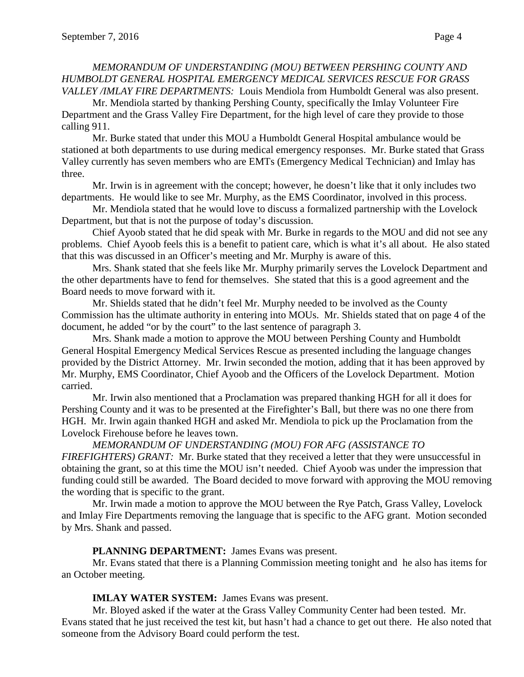#### *MEMORANDUM OF UNDERSTANDING (MOU) BETWEEN PERSHING COUNTY AND HUMBOLDT GENERAL HOSPITAL EMERGENCY MEDICAL SERVICES RESCUE FOR GRASS VALLEY /IMLAY FIRE DEPARTMENTS:* Louis Mendiola from Humboldt General was also present.

Mr. Mendiola started by thanking Pershing County, specifically the Imlay Volunteer Fire Department and the Grass Valley Fire Department, for the high level of care they provide to those calling 911.

Mr. Burke stated that under this MOU a Humboldt General Hospital ambulance would be stationed at both departments to use during medical emergency responses. Mr. Burke stated that Grass Valley currently has seven members who are EMTs (Emergency Medical Technician) and Imlay has three.

Mr. Irwin is in agreement with the concept; however, he doesn't like that it only includes two departments. He would like to see Mr. Murphy, as the EMS Coordinator, involved in this process.

Mr. Mendiola stated that he would love to discuss a formalized partnership with the Lovelock Department, but that is not the purpose of today's discussion.

Chief Ayoob stated that he did speak with Mr. Burke in regards to the MOU and did not see any problems. Chief Ayoob feels this is a benefit to patient care, which is what it's all about. He also stated that this was discussed in an Officer's meeting and Mr. Murphy is aware of this.

Mrs. Shank stated that she feels like Mr. Murphy primarily serves the Lovelock Department and the other departments have to fend for themselves. She stated that this is a good agreement and the Board needs to move forward with it.

Mr. Shields stated that he didn't feel Mr. Murphy needed to be involved as the County Commission has the ultimate authority in entering into MOUs. Mr. Shields stated that on page 4 of the document, he added "or by the court" to the last sentence of paragraph 3.

Mrs. Shank made a motion to approve the MOU between Pershing County and Humboldt General Hospital Emergency Medical Services Rescue as presented including the language changes provided by the District Attorney. Mr. Irwin seconded the motion, adding that it has been approved by Mr. Murphy, EMS Coordinator, Chief Ayoob and the Officers of the Lovelock Department. Motion carried.

Mr. Irwin also mentioned that a Proclamation was prepared thanking HGH for all it does for Pershing County and it was to be presented at the Firefighter's Ball, but there was no one there from HGH. Mr. Irwin again thanked HGH and asked Mr. Mendiola to pick up the Proclamation from the Lovelock Firehouse before he leaves town.

*MEMORANDUM OF UNDERSTANDING (MOU) FOR AFG (ASSISTANCE TO FIREFIGHTERS) GRANT:* Mr. Burke stated that they received a letter that they were unsuccessful in obtaining the grant, so at this time the MOU isn't needed. Chief Ayoob was under the impression that funding could still be awarded. The Board decided to move forward with approving the MOU removing the wording that is specific to the grant.

Mr. Irwin made a motion to approve the MOU between the Rye Patch, Grass Valley, Lovelock and Imlay Fire Departments removing the language that is specific to the AFG grant. Motion seconded by Mrs. Shank and passed.

## **PLANNING DEPARTMENT:** James Evans was present.

Mr. Evans stated that there is a Planning Commission meeting tonight and he also has items for an October meeting.

## **IMLAY WATER SYSTEM:** James Evans was present.

Mr. Bloyed asked if the water at the Grass Valley Community Center had been tested. Mr. Evans stated that he just received the test kit, but hasn't had a chance to get out there. He also noted that someone from the Advisory Board could perform the test.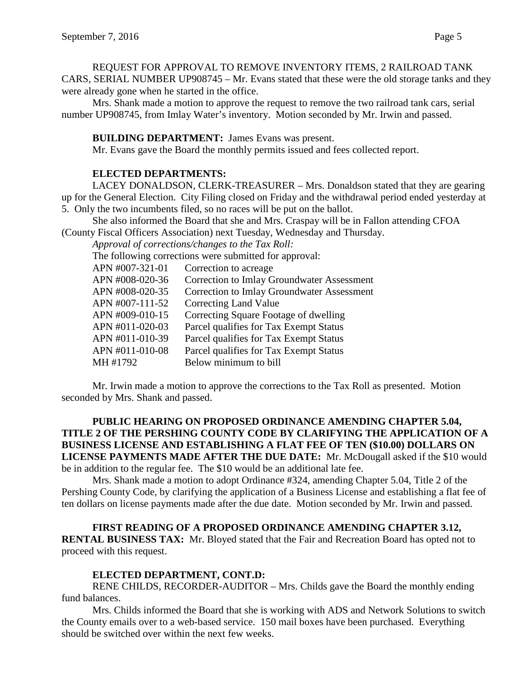REQUEST FOR APPROVAL TO REMOVE INVENTORY ITEMS, 2 RAILROAD TANK CARS, SERIAL NUMBER UP908745 – Mr. Evans stated that these were the old storage tanks and they were already gone when he started in the office.

Mrs. Shank made a motion to approve the request to remove the two railroad tank cars, serial number UP908745, from Imlay Water's inventory. Motion seconded by Mr. Irwin and passed.

## **BUILDING DEPARTMENT:** James Evans was present.

Mr. Evans gave the Board the monthly permits issued and fees collected report.

## **ELECTED DEPARTMENTS:**

LACEY DONALDSON, CLERK-TREASURER – Mrs. Donaldson stated that they are gearing up for the General Election. City Filing closed on Friday and the withdrawal period ended yesterday at 5. Only the two incumbents filed, so no races will be put on the ballot.

She also informed the Board that she and Mrs. Craspay will be in Fallon attending CFOA (County Fiscal Officers Association) next Tuesday, Wednesday and Thursday.

*Approval of corrections/changes to the Tax Roll:*

The following corrections were submitted for approval:

| APN #007-321-01 | Correction to acreage                             |
|-----------------|---------------------------------------------------|
| APN #008-020-36 | <b>Correction to Imlay Groundwater Assessment</b> |
| APN #008-020-35 | <b>Correction to Imlay Groundwater Assessment</b> |
| APN #007-111-52 | Correcting Land Value                             |
| APN #009-010-15 | Correcting Square Footage of dwelling             |
| APN #011-020-03 | Parcel qualifies for Tax Exempt Status            |
| APN #011-010-39 | Parcel qualifies for Tax Exempt Status            |
| APN #011-010-08 | Parcel qualifies for Tax Exempt Status            |
| MH #1792        | Below minimum to bill                             |
|                 |                                                   |

Mr. Irwin made a motion to approve the corrections to the Tax Roll as presented. Motion seconded by Mrs. Shank and passed.

**PUBLIC HEARING ON PROPOSED ORDINANCE AMENDING CHAPTER 5.04, TITLE 2 OF THE PERSHING COUNTY CODE BY CLARIFYING THE APPLICATION OF A BUSINESS LICENSE AND ESTABLISHING A FLAT FEE OF TEN (\$10.00) DOLLARS ON LICENSE PAYMENTS MADE AFTER THE DUE DATE:** Mr. McDougall asked if the \$10 would be in addition to the regular fee. The \$10 would be an additional late fee.

Mrs. Shank made a motion to adopt Ordinance #324, amending Chapter 5.04, Title 2 of the Pershing County Code, by clarifying the application of a Business License and establishing a flat fee of ten dollars on license payments made after the due date. Motion seconded by Mr. Irwin and passed.

**FIRST READING OF A PROPOSED ORDINANCE AMENDING CHAPTER 3.12, RENTAL BUSINESS TAX:** Mr. Bloyed stated that the Fair and Recreation Board has opted not to proceed with this request.

## **ELECTED DEPARTMENT, CONT.D:**

RENE CHILDS, RECORDER-AUDITOR – Mrs. Childs gave the Board the monthly ending fund balances.

Mrs. Childs informed the Board that she is working with ADS and Network Solutions to switch the County emails over to a web-based service. 150 mail boxes have been purchased. Everything should be switched over within the next few weeks.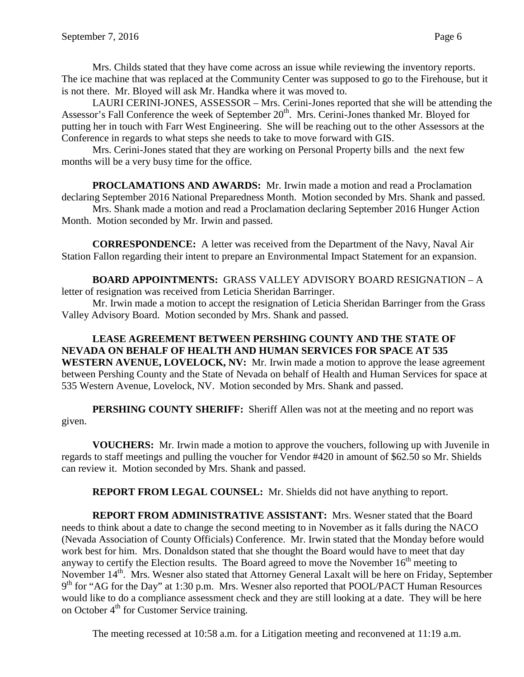Mrs. Childs stated that they have come across an issue while reviewing the inventory reports. The ice machine that was replaced at the Community Center was supposed to go to the Firehouse, but it is not there. Mr. Bloyed will ask Mr. Handka where it was moved to.

LAURI CERINI-JONES, ASSESSOR – Mrs. Cerini-Jones reported that she will be attending the Assessor's Fall Conference the week of September 20<sup>th</sup>. Mrs. Cerini-Jones thanked Mr. Bloyed for putting her in touch with Farr West Engineering. She will be reaching out to the other Assessors at the Conference in regards to what steps she needs to take to move forward with GIS.

Mrs. Cerini-Jones stated that they are working on Personal Property bills and the next few months will be a very busy time for the office.

**PROCLAMATIONS AND AWARDS:** Mr. Irwin made a motion and read a Proclamation declaring September 2016 National Preparedness Month. Motion seconded by Mrs. Shank and passed. Mrs. Shank made a motion and read a Proclamation declaring September 2016 Hunger Action Month. Motion seconded by Mr. Irwin and passed.

**CORRESPONDENCE:** A letter was received from the Department of the Navy, Naval Air Station Fallon regarding their intent to prepare an Environmental Impact Statement for an expansion.

**BOARD APPOINTMENTS:** GRASS VALLEY ADVISORY BOARD RESIGNATION – A letter of resignation was received from Leticia Sheridan Barringer.

Mr. Irwin made a motion to accept the resignation of Leticia Sheridan Barringer from the Grass Valley Advisory Board. Motion seconded by Mrs. Shank and passed.

**LEASE AGREEMENT BETWEEN PERSHING COUNTY AND THE STATE OF NEVADA ON BEHALF OF HEALTH AND HUMAN SERVICES FOR SPACE AT 535 WESTERN AVENUE, LOVELOCK, NV:** Mr. Irwin made a motion to approve the lease agreement between Pershing County and the State of Nevada on behalf of Health and Human Services for space at 535 Western Avenue, Lovelock, NV. Motion seconded by Mrs. Shank and passed.

**PERSHING COUNTY SHERIFF:** Sheriff Allen was not at the meeting and no report was given.

**VOUCHERS:** Mr. Irwin made a motion to approve the vouchers, following up with Juvenile in regards to staff meetings and pulling the voucher for Vendor #420 in amount of \$62.50 so Mr. Shields can review it. Motion seconded by Mrs. Shank and passed.

**REPORT FROM LEGAL COUNSEL:** Mr. Shields did not have anything to report.

**REPORT FROM ADMINISTRATIVE ASSISTANT:** Mrs. Wesner stated that the Board needs to think about a date to change the second meeting to in November as it falls during the NACO (Nevada Association of County Officials) Conference. Mr. Irwin stated that the Monday before would work best for him. Mrs. Donaldson stated that she thought the Board would have to meet that day anyway to certify the Election results. The Board agreed to move the November  $16<sup>th</sup>$  meeting to November  $14<sup>th</sup>$ . Mrs. Wesner also stated that Attorney General Laxalt will be here on Friday, September  $9<sup>th</sup>$  for "AG for the Day" at 1:30 p.m. Mrs. Wesner also reported that POOL/PACT Human Resources would like to do a compliance assessment check and they are still looking at a date. They will be here on October  $4<sup>th</sup>$  for Customer Service training.

The meeting recessed at 10:58 a.m. for a Litigation meeting and reconvened at 11:19 a.m.